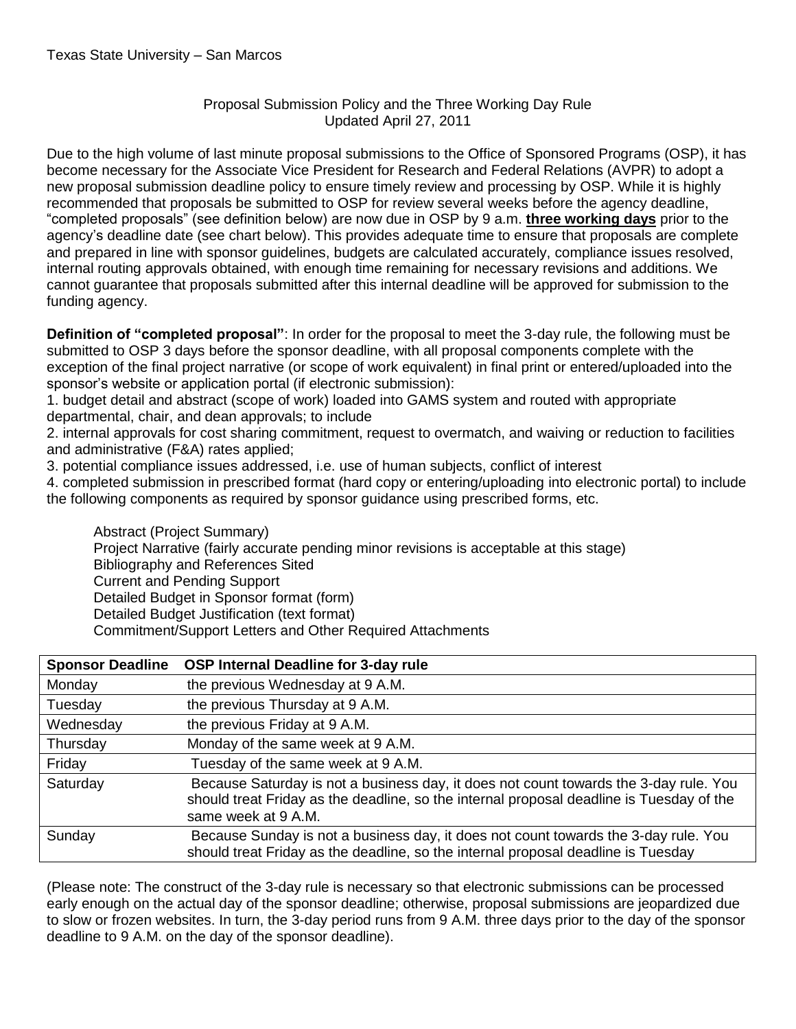## Proposal Submission Policy and the Three Working Day Rule Updated April 27, 2011

Due to the high volume of last minute proposal submissions to the Office of Sponsored Programs (OSP), it has become necessary for the Associate Vice President for Research and Federal Relations (AVPR) to adopt a new proposal submission deadline policy to ensure timely review and processing by OSP. While it is highly recommended that proposals be submitted to OSP for review several weeks before the agency deadline, "completed proposals" (see definition below) are now due in OSP by 9 a.m. **three working days** prior to the agency's deadline date (see chart below). This provides adequate time to ensure that proposals are complete and prepared in line with sponsor guidelines, budgets are calculated accurately, compliance issues resolved, internal routing approvals obtained, with enough time remaining for necessary revisions and additions. We cannot guarantee that proposals submitted after this internal deadline will be approved for submission to the funding agency.

**Definition of "completed proposal"**: In order for the proposal to meet the 3-day rule, the following must be submitted to OSP 3 days before the sponsor deadline, with all proposal components complete with the exception of the final project narrative (or scope of work equivalent) in final print or entered/uploaded into the sponsor's website or application portal (if electronic submission):

1. budget detail and abstract (scope of work) loaded into GAMS system and routed with appropriate departmental, chair, and dean approvals; to include

2. internal approvals for cost sharing commitment, request to overmatch, and waiving or reduction to facilities and administrative (F&A) rates applied;

3. potential compliance issues addressed, i.e. use of human subjects, conflict of interest

4. completed submission in prescribed format (hard copy or entering/uploading into electronic portal) to include the following components as required by sponsor guidance using prescribed forms, etc.

Abstract (Project Summary) Project Narrative (fairly accurate pending minor revisions is acceptable at this stage) Bibliography and References Sited Current and Pending Support Detailed Budget in Sponsor format (form) Detailed Budget Justification (text format) Commitment/Support Letters and Other Required Attachments

| <b>Sponsor Deadline</b> | OSP Internal Deadline for 3-day rule                                                                                                                                                                     |
|-------------------------|----------------------------------------------------------------------------------------------------------------------------------------------------------------------------------------------------------|
| Monday                  | the previous Wednesday at 9 A.M.                                                                                                                                                                         |
| Tuesday                 | the previous Thursday at 9 A.M.                                                                                                                                                                          |
| Wednesday               | the previous Friday at 9 A.M.                                                                                                                                                                            |
| Thursday                | Monday of the same week at 9 A.M.                                                                                                                                                                        |
| Friday                  | Tuesday of the same week at 9 A.M.                                                                                                                                                                       |
| Saturday                | Because Saturday is not a business day, it does not count towards the 3-day rule. You<br>should treat Friday as the deadline, so the internal proposal deadline is Tuesday of the<br>same week at 9 A.M. |
| Sunday                  | Because Sunday is not a business day, it does not count towards the 3-day rule. You<br>should treat Friday as the deadline, so the internal proposal deadline is Tuesday                                 |

(Please note: The construct of the 3-day rule is necessary so that electronic submissions can be processed early enough on the actual day of the sponsor deadline; otherwise, proposal submissions are jeopardized due to slow or frozen websites. In turn, the 3-day period runs from 9 A.M. three days prior to the day of the sponsor deadline to 9 A.M. on the day of the sponsor deadline).